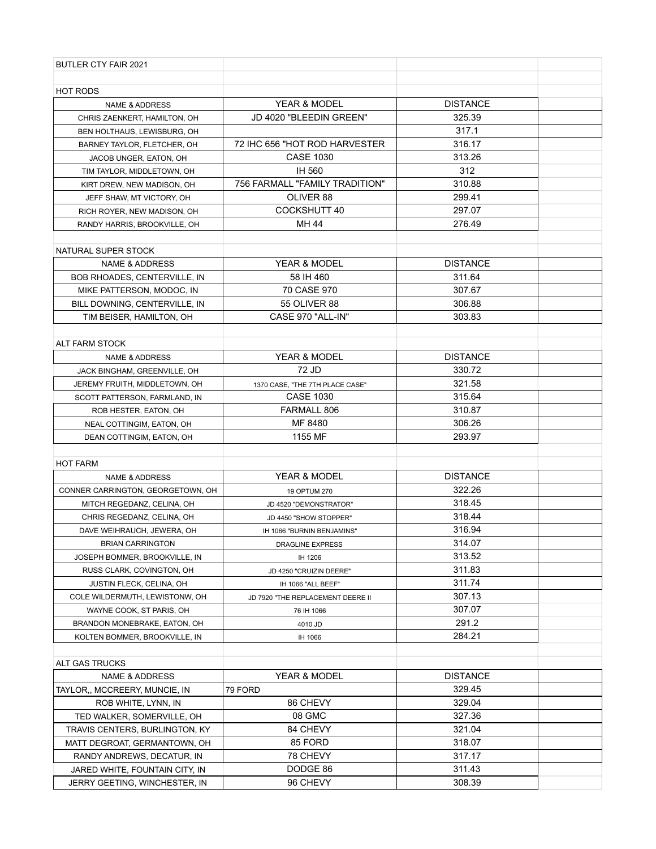| BUTLER CTY FAIR 2021                                 |                                         |                           |  |
|------------------------------------------------------|-----------------------------------------|---------------------------|--|
|                                                      |                                         |                           |  |
| <b>HOT RODS</b>                                      |                                         |                           |  |
| <b>NAME &amp; ADDRESS</b>                            | YEAR & MODEL<br>JD 4020 "BLEEDIN GREEN" | <b>DISTANCE</b><br>325.39 |  |
| CHRIS ZAENKERT, HAMILTON, OH                         |                                         | 317.1                     |  |
| BEN HOLTHAUS, LEWISBURG, OH                          | 72 IHC 656 "HOT ROD HARVESTER           | 316.17                    |  |
| BARNEY TAYLOR, FLETCHER, OH                          | <b>CASE 1030</b>                        | 313.26                    |  |
| JACOB UNGER, EATON, OH<br>TIM TAYLOR, MIDDLETOWN, OH | IH 560                                  | 312                       |  |
| KIRT DREW, NEW MADISON, OH                           | 756 FARMALL "FAMILY TRADITION"          | 310.88                    |  |
| JEFF SHAW, MT VICTORY, OH                            | OLIVER 88                               | 299.41                    |  |
| RICH ROYER, NEW MADISON, OH                          | COCKSHUTT 40                            | 297.07                    |  |
| RANDY HARRIS, BROOKVILLE, OH                         | MH 44                                   | 276.49                    |  |
|                                                      |                                         |                           |  |
| NATURAL SUPER STOCK                                  |                                         |                           |  |
| <b>NAME &amp; ADDRESS</b>                            | <b>YEAR &amp; MODEL</b>                 | <b>DISTANCE</b>           |  |
| BOB RHOADES, CENTERVILLE, IN                         | 58 IH 460                               | 311.64                    |  |
| MIKE PATTERSON, MODOC, IN                            | 70 CASE 970                             | 307.67                    |  |
| BILL DOWNING, CENTERVILLE, IN                        | <b>55 OLIVER 88</b>                     | 306.88                    |  |
| TIM BEISER, HAMILTON, OH                             | CASE 970 "ALL-IN"                       | 303.83                    |  |
|                                                      |                                         |                           |  |
| <b>ALT FARM STOCK</b>                                |                                         |                           |  |
| <b>NAME &amp; ADDRESS</b>                            | YEAR & MODEL                            | <b>DISTANCE</b>           |  |
| JACK BINGHAM, GREENVILLE, OH                         | 72 JD                                   | 330.72                    |  |
| JEREMY FRUITH, MIDDLETOWN, OH                        | 1370 CASE, "THE 7TH PLACE CASE"         | 321.58                    |  |
| SCOTT PATTERSON, FARMLAND, IN                        | <b>CASE 1030</b>                        | 315.64                    |  |
| ROB HESTER, EATON, OH                                | FARMALL 806                             | 310.87                    |  |
| NEAL COTTINGIM, EATON, OH                            | MF 8480                                 | 306.26                    |  |
| DEAN COTTINGIM, EATON, OH                            | 1155 MF                                 | 293.97                    |  |
|                                                      |                                         |                           |  |
| <b>HOT FARM</b>                                      |                                         |                           |  |
| <b>NAME &amp; ADDRESS</b>                            | YEAR & MODEL                            | <b>DISTANCE</b>           |  |
| CONNER CARRINGTON, GEORGETOWN, OH                    | 19 OPTUM 270                            | 322.26                    |  |
| MITCH REGEDANZ, CELINA, OH                           | JD 4520 "DEMONSTRATOR"                  | 318.45                    |  |
| CHRIS REGEDANZ, CELINA, OH                           | JD 4450 "SHOW STOPPER"                  | 318.44                    |  |
| DAVE WEIHRAUCH, JEWERA, OH                           | IH 1066 "BURNIN BENJAMINS"              | 316.94                    |  |
| <b>BRIAN CARRINGTON</b>                              | DRAGLINE EXPRESS                        | 314.07                    |  |
| JOSEPH BOMMER, BROOKVILLE, IN                        | IH 1206                                 | 313.52                    |  |
| RUSS CLARK, COVINGTON, OH                            | JD 4250 "CRUIZIN DEERE"                 | 311.83                    |  |
| JUSTIN FLECK, CELINA, OH                             | IH 1066 "ALL BEEF"                      | 311.74                    |  |
| COLE WILDERMUTH, LEWISTONW, OH                       | JD 7920 "THE REPLACEMENT DEERE II       | 307.13                    |  |
| WAYNE COOK, ST PARIS, OH                             | 76 IH 1066                              | 307.07                    |  |
| BRANDON MONEBRAKE, EATON, OH                         | 4010 JD                                 | 291.2                     |  |
| KOLTEN BOMMER, BROOKVILLE, IN                        | IH 1066                                 | 284.21                    |  |
|                                                      |                                         |                           |  |
| ALT GAS TRUCKS                                       |                                         |                           |  |
| <b>NAME &amp; ADDRESS</b>                            | YEAR & MODEL                            | <b>DISTANCE</b>           |  |
| TAYLOR,, MCCREERY, MUNCIE, IN                        | 79 FORD                                 | 329.45                    |  |
| ROB WHITE, LYNN, IN                                  | 86 CHEVY                                | 329.04                    |  |
| TED WALKER, SOMERVILLE, OH                           | 08 GMC                                  | 327.36                    |  |
| TRAVIS CENTERS, BURLINGTON, KY                       | 84 CHEVY                                | 321.04                    |  |
| MATT DEGROAT, GERMANTOWN, OH                         | 85 FORD                                 | 318.07                    |  |
| RANDY ANDREWS, DECATUR, IN                           | 78 CHEVY                                | 317.17                    |  |
| JARED WHITE, FOUNTAIN CITY, IN                       | DODGE 86                                | 311.43                    |  |
| JERRY GEETING, WINCHESTER, IN                        | 96 CHEVY                                | 308.39                    |  |